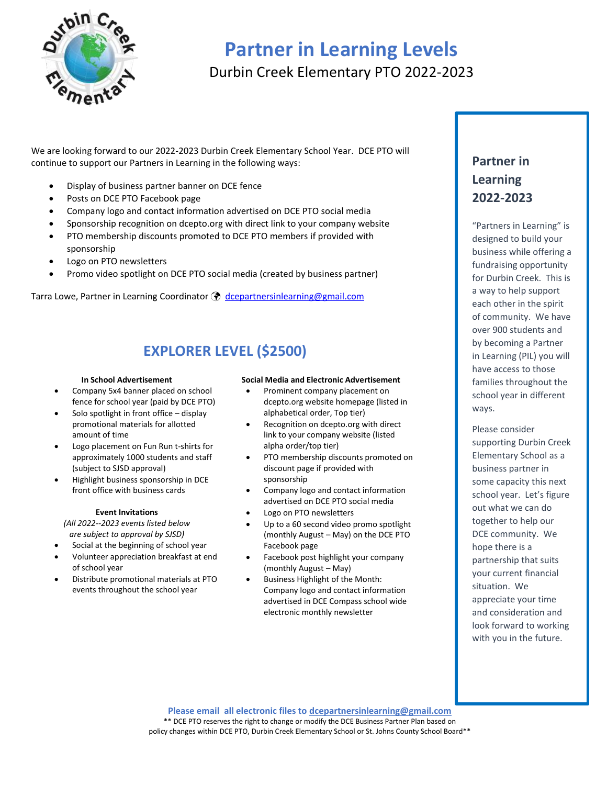

# **Partner in Learning Levels** Durbin Creek Elementary PTO 2022-2023

We are looking forward to our 2022-2023 Durbin Creek Elementary School Year. DCE PTO will continue to support our Partners in Learning in the following ways:

- Display of business partner banner on DCE fence
- Posts on DCE PTO Facebook page
- Company logo and contact information advertised on DCE PTO social media
- Sponsorship recognition on dcepto.org with direct link to your company website
- PTO membership discounts promoted to DCE PTO members if provided with sponsorship
- Logo on PTO newsletters
- Promo video spotlight on DCE PTO social media (created by business partner)

Tarra Lowe, Partner in Learning Coordinator  $\bigcirc$  [dcepartnersinlearning@gmail.com](mailto:dcepartnersinlearning@gmail.com?subject=DCE%20PTO%20Partners%20in%20Learning%20Application)

# **EXPLORER LEVEL (\$2500)**

#### **In School Advertisement**

- Company 5x4 banner placed on school fence for school year (paid by DCE PTO)
- Solo spotlight in front office display promotional materials for allotted amount of time
- Logo placement on Fun Run t-shirts for approximately 1000 students and staff (subject to SJSD approval)
- Highlight business sponsorship in DCE front office with business cards

#### **Event Invitations**

*(All 2022--2023 events listed below are subject to approval by SJSD)*

- Social at the beginning of school year
- Volunteer appreciation breakfast at end of school year
- Distribute promotional materials at PTO events throughout the school year

#### **Social Media and Electronic Advertisement**

- Prominent company placement on dcepto.org website homepage (listed in alphabetical order, Top tier)
- Recognition on dcepto.org with direct link to your company website (listed alpha order/top tier)
- PTO membership discounts promoted on discount page if provided with sponsorship
- Company logo and contact information advertised on DCE PTO social media
- Logo on PTO newsletters
- Up to a 60 second video promo spotlight (monthly August – May) on the DCE PTO Facebook page
- Facebook post highlight your company (monthly August – May)
- Business Highlight of the Month: Company logo and contact information advertised in DCE Compass school wide electronic monthly newsletter

### **Partner in Learning 2022-2023**

"Partners in Learning" is designed to build your business while offering a fundraising opportunity for Durbin Creek. This is a way to help support each other in the spirit of community. We have over 900 students and by becoming a Partner in Learning (PIL) you will have access to those families throughout the school year in different ways.

Please consider supporting Durbin Creek Elementary School as a business partner in some capacity this next school year. Let's figure out what we can do together to help our DCE community. We hope there is a partnership that suits your current financial situation. We appreciate your time and consideration and look forward to working with you in the future.

**Please email all electronic files to [dcepartnersinlearning@gmail.com](mailto:dcepartnersinlearning@gmail.com)** \*\* DCE PTO reserves the right to change or modify the DCE Business Partner Plan based on policy changes within DCE PTO, Durbin Creek Elementary School or St. Johns County School Board\*\*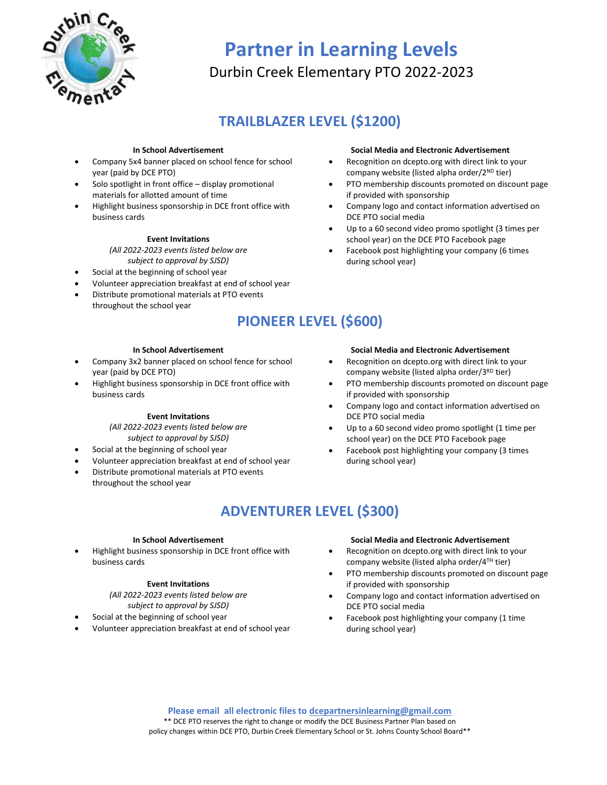

# **Partner in Learning Levels** Durbin Creek Elementary PTO 2022-2023

# **TRAILBLAZER LEVEL (\$1200)**

#### **In School Advertisement**

- Company 5x4 banner placed on school fence for school year (paid by DCE PTO)
- Solo spotlight in front office display promotional materials for allotted amount of time
- Highlight business sponsorship in DCE front office with business cards

#### **Event Invitations**

*(All 2022-2023 events listed below are subject to approval by SJSD)*

- Social at the beginning of school year
- Volunteer appreciation breakfast at end of school year
- Distribute promotional materials at PTO events throughout the school year

#### **Social Media and Electronic Advertisement**

- Recognition on dcepto.org with direct link to your company website (listed alpha order/2ND tier)
- PTO membership discounts promoted on discount page if provided with sponsorship
- Company logo and contact information advertised on DCE PTO social media
- Up to a 60 second video promo spotlight (3 times per school year) on the DCE PTO Facebook page
- Facebook post highlighting your company (6 times during school year)

## **PIONEER LEVEL (\$600)**

#### **In School Advertisement**

- Company 3x2 banner placed on school fence for school year (paid by DCE PTO)
- Highlight business sponsorship in DCE front office with business cards

#### **Event Invitations**

#### *(All 2022-2023 events listed below are subject to approval by SJSD)*

- Social at the beginning of school year
- Volunteer appreciation breakfast at end of school year
- Distribute promotional materials at PTO events throughout the school year

#### **Social Media and Electronic Advertisement**

- Recognition on dcepto.org with direct link to your company website (listed alpha order/3<sup>RD</sup> tier)
- PTO membership discounts promoted on discount page if provided with sponsorship
- Company logo and contact information advertised on DCE PTO social media
- Up to a 60 second video promo spotlight (1 time per school year) on the DCE PTO Facebook page
- Facebook post highlighting your company (3 times during school year)

# **ADVENTURER LEVEL (\$300)**

#### **In School Advertisement**

• Highlight business sponsorship in DCE front office with business cards

#### **Event Invitations**

*(All 2022-2023 events listed below are subject to approval by SJSD)*

- Social at the beginning of school year
- Volunteer appreciation breakfast at end of school year

#### **Social Media and Electronic Advertisement**

- Recognition on dcepto.org with direct link to your company website (listed alpha order/4TH tier)
- PTO membership discounts promoted on discount page if provided with sponsorship
- Company logo and contact information advertised on DCE PTO social media
- Facebook post highlighting your company (1 time during school year)

**Please email all electronic files to [dcepartnersinlearning@gmail.com](mailto:dcepartnersinlearning@gmail.com)** \*\* DCE PTO reserves the right to change or modify the DCE Business Partner Plan based on policy changes within DCE PTO, Durbin Creek Elementary School or St. Johns County School Board\*\*